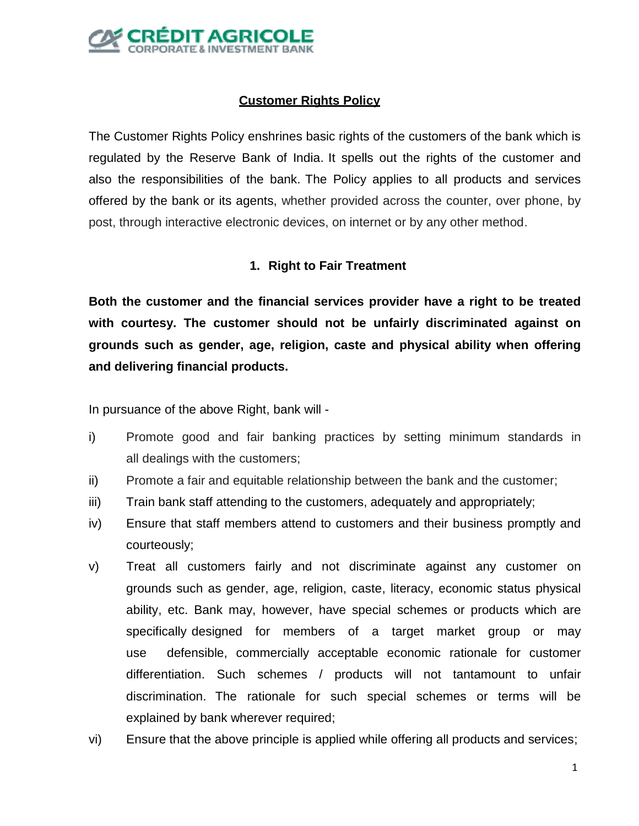

# **Customer Rights Policy**

The Customer Rights Policy enshrines basic rights of the customers of the bank which is regulated by the Reserve Bank of India. It spells out the rights of the customer and also the responsibilities of the bank. The Policy applies to all products and services offered by the bank or its agents, whether provided across the counter, over phone, by post, through interactive electronic devices, on internet or by any other method.

### **1. Right to Fair Treatment**

**Both the customer and the financial services provider have a right to be treated with courtesy. The customer should not be unfairly discriminated against on grounds such as gender, age, religion, caste and physical ability when offering and delivering financial products.**

In pursuance of the above Right, bank will -

- i) Promote good and fair banking practices by setting minimum standards in all dealings with the customers;
- ii) Promote a fair and equitable relationship between the bank and the customer;
- iii) Train bank staff attending to the customers, adequately and appropriately;
- iv) Ensure that staff members attend to customers and their business promptly and courteously;
- v) Treat all customers fairly and not discriminate against any customer on grounds such as gender, age, religion, caste, literacy, economic status physical ability, etc. Bank may, however, have special schemes or products which are specifically designed for members of a target market group or may use defensible, commercially acceptable economic rationale for customer differentiation. Such schemes / products will not tantamount to unfair discrimination. The rationale for such special schemes or terms will be explained by bank wherever required;
- vi) Ensure that the above principle is applied while offering all products and services;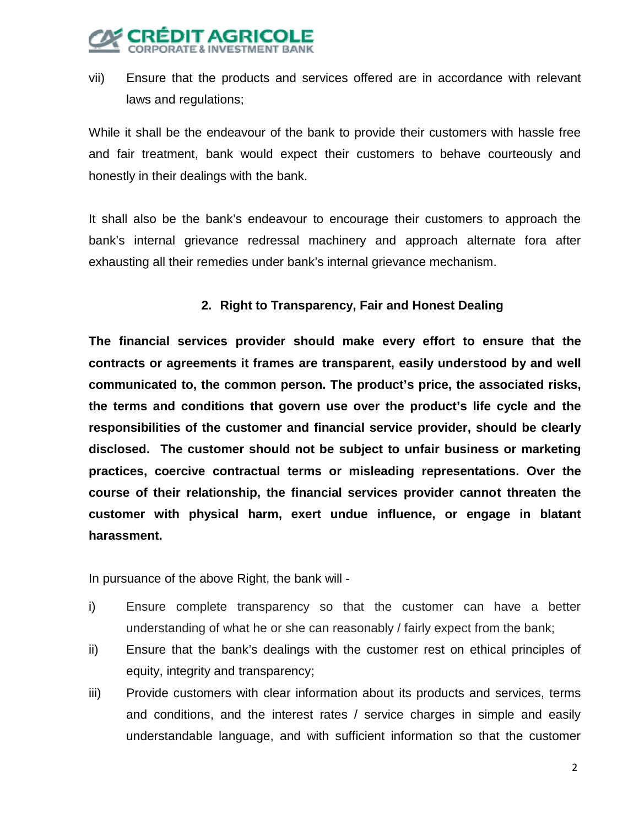

vii) Ensure that the products and services offered are in accordance with relevant laws and regulations;

While it shall be the endeavour of the bank to provide their customers with hassle free and fair treatment, bank would expect their customers to behave courteously and honestly in their dealings with the bank.

It shall also be the bank's endeavour to encourage their customers to approach the bank's internal grievance redressal machinery and approach alternate fora after exhausting all their remedies under bank's internal grievance mechanism.

# **2. Right to Transparency, Fair and Honest Dealing**

**The financial services provider should make every effort to ensure that the contracts or agreements it frames are transparent, easily understood by and well communicated to, the common person. The product's price, the associated risks, the terms and conditions that govern use over the product's life cycle and the responsibilities of the customer and financial service provider, should be clearly disclosed. The customer should not be subject to unfair business or marketing practices, coercive contractual terms or misleading representations. Over the course of their relationship, the financial services provider cannot threaten the customer with physical harm, exert undue influence, or engage in blatant harassment.**

In pursuance of the above Right, the bank will -

- i) Ensure complete transparency so that the customer can have a better understanding of what he or she can reasonably / fairly expect from the bank;
- ii) Ensure that the bank's dealings with the customer rest on ethical principles of equity, integrity and transparency;
- iii) Provide customers with clear information about its products and services, terms and conditions, and the interest rates / service charges in simple and easily understandable language, and with sufficient information so that the customer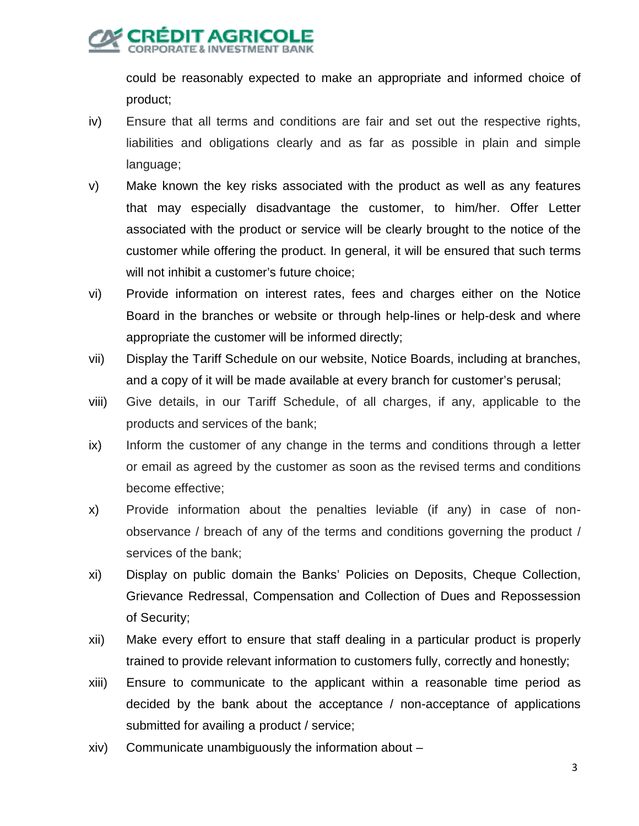could be reasonably expected to make an appropriate and informed choice of product;

- iv) Ensure that all terms and conditions are fair and set out the respective rights, liabilities and obligations clearly and as far as possible in plain and simple language;
- v) Make known the key risks associated with the product as well as any features that may especially disadvantage the customer, to him/her. Offer Letter associated with the product or service will be clearly brought to the notice of the customer while offering the product. In general, it will be ensured that such terms will not inhibit a customer's future choice;
- vi) Provide information on interest rates, fees and charges either on the Notice Board in the branches or website or through help-lines or help-desk and where appropriate the customer will be informed directly;
- vii) Display the Tariff Schedule on our website, Notice Boards, including at branches, and a copy of it will be made available at every branch for customer's perusal;
- viii) Give details, in our Tariff Schedule, of all charges, if any, applicable to the products and services of the bank;
- ix) Inform the customer of any change in the terms and conditions through a letter or email as agreed by the customer as soon as the revised terms and conditions become effective;
- x) Provide information about the penalties leviable (if any) in case of nonobservance / breach of any of the terms and conditions governing the product / services of the bank;
- xi) Display on public domain the Banks' Policies on Deposits, Cheque Collection, Grievance Redressal, Compensation and Collection of Dues and Repossession of Security;
- xii) Make every effort to ensure that staff dealing in a particular product is properly trained to provide relevant information to customers fully, correctly and honestly;
- xiii) Ensure to communicate to the applicant within a reasonable time period as decided by the bank about the acceptance / non-acceptance of applications submitted for availing a product / service;
- xiv) Communicate unambiguously the information about –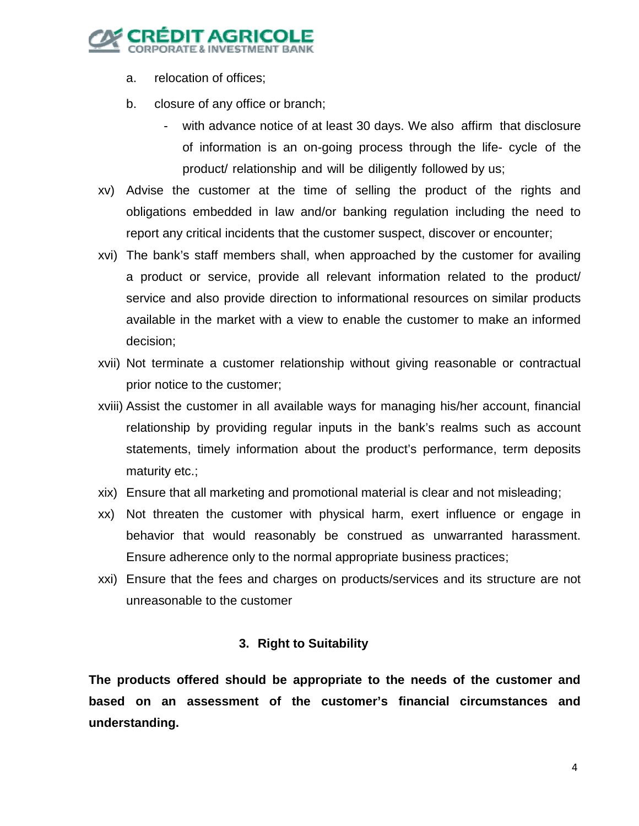

- a. relocation of offices;
- b. closure of any office or branch;
	- with advance notice of at least 30 days. We also affirm that disclosure of information is an on-going process through the life- cycle of the product/ relationship and will be diligently followed by us;
- xv) Advise the customer at the time of selling the product of the rights and obligations embedded in law and/or banking regulation including the need to report any critical incidents that the customer suspect, discover or encounter;
- xvi) The bank's staff members shall, when approached by the customer for availing a product or service, provide all relevant information related to the product/ service and also provide direction to informational resources on similar products available in the market with a view to enable the customer to make an informed decision;
- xvii) Not terminate a customer relationship without giving reasonable or contractual prior notice to the customer;
- xviii) Assist the customer in all available ways for managing his/her account, financial relationship by providing regular inputs in the bank's realms such as account statements, timely information about the product's performance, term deposits maturity etc.;
- xix) Ensure that all marketing and promotional material is clear and not misleading;
- xx) Not threaten the customer with physical harm, exert influence or engage in behavior that would reasonably be construed as unwarranted harassment. Ensure adherence only to the normal appropriate business practices;
- xxi) Ensure that the fees and charges on products/services and its structure are not unreasonable to the customer

### **3. Right to Suitability**

**The products offered should be appropriate to the needs of the customer and based on an assessment of the customer's financial circumstances and understanding.**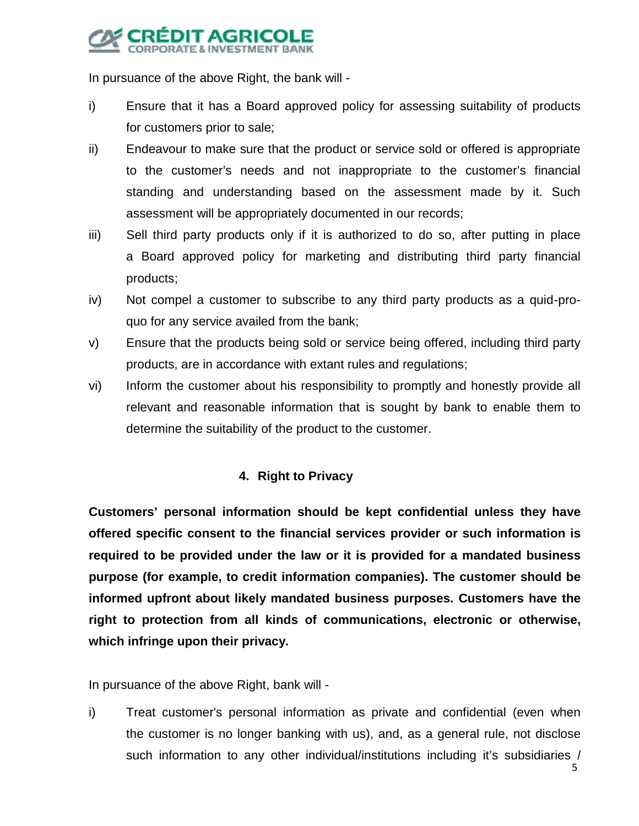# EDIT AGI

In pursuance of the above Right, the bank will -

- i) Ensure that it has a Board approved policy for assessing suitability of products for customers prior to sale;
- ii) Endeavour to make sure that the product or service sold or offered is appropriate to the customer's needs and not inappropriate to the customer's financial standing and understanding based on the assessment made by it. Such assessment will be appropriately documented in our records;
- iii) Sell third party products only if it is authorized to do so, after putting in place a Board approved policy for marketing and distributing third party financial products;
- iv) Not compel a customer to subscribe to any third party products as a quid-proquo for any service availed from the bank;
- v) Ensure that the products being sold or service being offered, including third party products, are in accordance with extant rules and regulations;
- vi) Inform the customer about his responsibility to promptly and honestly provide all relevant and reasonable information that is sought by bank to enable them to determine the suitability of the product to the customer.

# **4. Right to Privacy**

**Customers' personal information should be kept confidential unless they have offered specific consent to the financial services provider or such information is required to be provided under the law or it is provided for a mandated business purpose (for example, to credit information companies). The customer should be informed upfront about likely mandated business purposes. Customers have the right to protection from all kinds of communications, electronic or otherwise, which infringe upon their privacy.**

In pursuance of the above Right, bank will -

i) Treat customer's personal information as private and confidential (even when the customer is no longer banking with us), and, as a general rule, not disclose such information to any other individual/institutions including it's subsidiaries /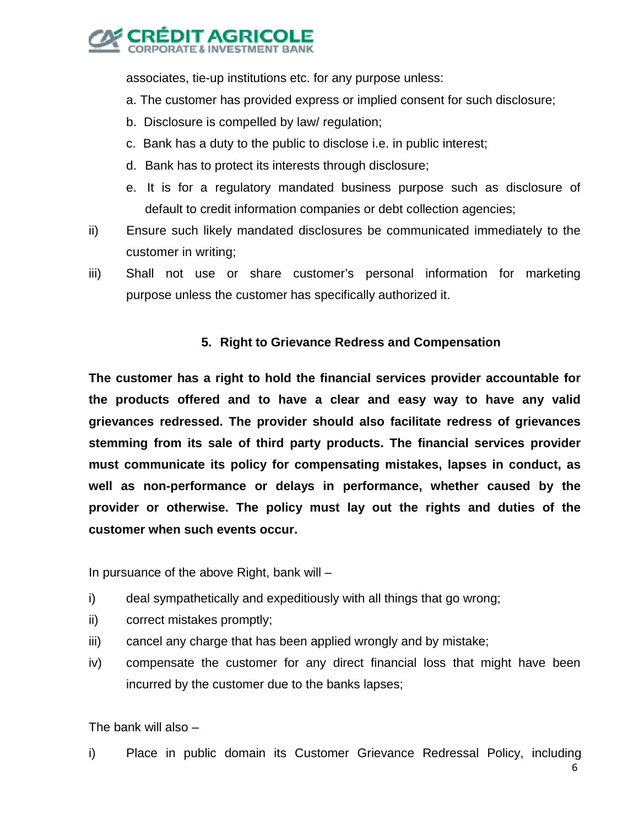

associates, tie-up institutions etc. for any purpose unless:

- a. The customer has provided express or implied consent for such disclosure;
- b. Disclosure is compelled by law/ regulation;
- c. Bank has a duty to the public to disclose i.e. in public interest;
- d. Bank has to protect its interests through disclosure;
- e. It is for a regulatory mandated business purpose such as disclosure of default to credit information companies or debt collection agencies;
- ii) Ensure such likely mandated disclosures be communicated immediately to the customer in writing;
- iii) Shall not use or share customer's personal information for marketing purpose unless the customer has specifically authorized it.

# **5. Right to Grievance Redress and Compensation**

**The customer has a right to hold the financial services provider accountable for the products offered and to have a clear and easy way to have any valid grievances redressed. The provider should also facilitate redress of grievances stemming from its sale of third party products. The financial services provider must communicate its policy for compensating mistakes, lapses in conduct, as well as non-performance or delays in performance, whether caused by the provider or otherwise. The policy must lay out the rights and duties of the customer when such events occur.**

In pursuance of the above Right, bank will –

- i) deal sympathetically and expeditiously with all things that go wrong;
- ii) correct mistakes promptly;
- iii) cancel any charge that has been applied wrongly and by mistake;
- iv) compensate the customer for any direct financial loss that might have been incurred by the customer due to the banks lapses;

The bank will also –

i) Place in public domain its Customer Grievance Redressal Policy, including